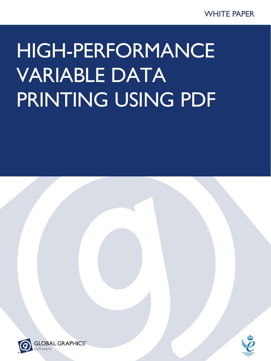# HIGH-PERFORMANCE VARIABLE DATA PRINTING USING PDF



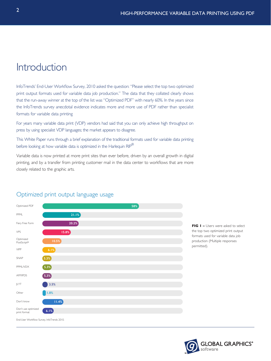### Introduction

InfoTrends' End-User Workflow Survey, 2010 asked the question: "Please select the top two optimized print output formats used for variable data job production." The data that they collated clearly shows that the run-away winner at the top of the list was "Optimized PDF" with nearly 60%. In the years since the InfoTrends survey anecdotal evidence indicates more and more use of PDF rather than specialist formats for variable data printing

For years many variable data print (VDP) vendors had said that you can only achieve high throughput on press by using specialist VDP languages; the market appears to disagree.

This White Paper runs through a brief explanation of the traditional formats used for variable data printing before looking at how variable data is optimized in the Harlequin RIP<sup>®</sup>

Variable data is now printed at more print sites than ever before, driven by an overall growth in digital printing, and by a transfer from printing customer mail in the data center to workflows that are more closely related to the graphic arts.



### Optimized print output language usage

**FIG 1 –** Users were asked to select the top two optimized print output formats used for variable data job production (Multiple responses permitted).

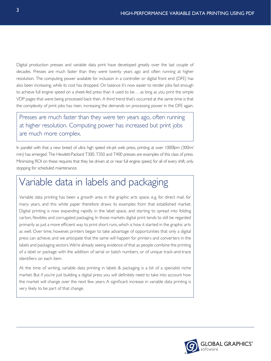Digital production presses and variable data print have developed greatly over the last couple of decades. Presses are much faster than they were twenty years ago and often running at higher resolution. The computing power available for inclusion in a controller or digital front end (DFE) has also been increasing, while its cost has dropped. On balance it's now easier to render jobs fast enough to achieve full engine speed on a sheet-fed press than it used to be… as long as you print the simple VDP pages that were being processed back then. A third trend that's occurred at the same time is that the complexity of print jobs has risen, increasing the demands on processing power in the DFE again.

Presses are much faster than they were ten years ago, often running at higher resolution. Computing power has increased but print jobs are much more complex.

In parallel with that a new breed of ultra high speed ink-jet web press, printing at over 1000fpm (300m/ min) has emerged. The Hewlett-Packard T300, T350 and T400 presses are examples of this class of press. Minimizing ROI on these requires that they be driven at or near full engine speed, for all of every shift, only stopping for scheduled maintenance.

## Variable data in labels and packaging

Variable data printing has been a growth area in the graphic arts space, e.g. for direct mail, for many years, and this white paper therefore draws its examples from that established market. Digital printing is now expanding rapidly in the label space, and starting to spread into folding carton, flexibles and corrugated packaging. In those markets digital print tends to still be regarded primarily as just a more efficient way to print short runs, which is how it started in the graphic arts as well. Over time, however, printers began to take advantage of opportunities that only a digital press can achieve, and we anticipate that the same will happen for printers and converters in the labels and packaging sectors. We're already seeing evidence of that as people combine the printing of a label or package with the addition of serial or batch numbers, or of unique track-and-trace identifiers on each item.

At the time of writing, variable data printing in labels & packaging is a bit of a specialist niche market. But if you're just building a digital press you will definitely need to take into account how the market will change over the next few years. A significant increase in variable data printing is very likely to be part of that change.

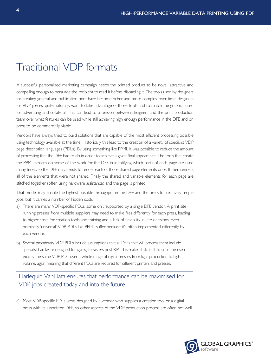### Traditional VDP formats

A successful personalized marketing campaign needs the printed product to be novel, attractive and compelling enough to persuade the recipient to read it before discarding it. The tools used by designers for creating general and publication print have become richer and more complex over time; designers for VDP pieces, quite naturally, want to take advantage of those tools and to match the graphics used for advertising and collateral. This can lead to a tension between designers and the print production team over what features can be used while still achieving high enough performance in the DFE and on press to be commercially viable.

Vendors have always tried to build solutions that are capable of the most efficient processing possible using technology available at the time. Historically this lead to the creation of a variety of specialist VDP page description languages (PDLs). By using something like PPML it was possible to reduce the amount of processing that the DFE had to do in order to achieve a given final appearance. The tools that create the PPML stream do some of the work for the DFE in identifying which parts of each page are used many times, so the DFE only needs to render each of those shared page elements once. It then renders all of the elements that were not shared. Finally the shared and variable elements for each page are stitched together (often using hardware assistance) and the page is printed.

That model may enable the highest possible throughput in the DFE and the press for relatively simple jobs, but it carries a number of hidden costs:

- a) There are many VDP-specific PDLs, some only supported by a single DFE vendor. A print site running presses from multiple suppliers may need to make files differently for each press, leading to higher costs for creation tools and training and a lack of flexibility in late decisions. Even nominally 'universal' VDP PDLs like PPML suffer because it's often implemented differently by each vendor.
- b) Several proprietary VDP PDLs include assumptions that all DFEs that will process them include specialist hardware designed to aggregate rasters post RIP. This makes it difficult to scale the use of exactly the same VDP PDL over a whole range of digital presses from light production to high volume, again meaning that different PDLs are required for different printers and presses.

Harlequin VariData ensures that performance can be maximised for VDP jobs created today and into the future.

c) Most VDP-specific PDLs were designed by a vendor who supplies a creation tool or a digital press with its associated DFE, so other aspects of the VDP production process are often not well

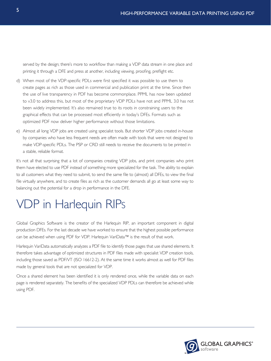served by the design; there's more to workflow than making a VDP data stream in one place and printing it through a DFE and press at another, including viewing, proofing, preflight etc.

- d) When most of the VDP-specific PDLs were first specified it was possible to use them to create pages as rich as those used in commercial and publication print at the time. Since then the use of live transparency in PDF has become commonplace. PPML has now been updated to v3.0 to address this, but most of the proprietary VDP PDLs have not and PPML 3.0 has not been widely implemented. It's also remained true to its roots in constraining users to the graphical effects that can be processed most efficiently in today's DFEs. Formats such as optimized PDF now deliver higher performance without those limitations.
- e) Almost all long VDP jobs are created using specialist tools. But shorter VDP jobs created in-house by companies who have less frequent needs are often made with tools that were not designed to make VDP-specific PDLs. The PSP or CRD still needs to receive the documents to be printed in a stable, reliable format.

It's not all that surprising that a lot of companies creating VDP jobs, and print companies who print them have elected to use PDF instead of something more specialized for the task. The ability to explain to all customers what they need to submit, to send the same file to (almost) all DFEs, to view the final file virtually anywhere, and to create files as rich as the customer demands all go at least some way to balancing out the potential for a drop in performance in the DFE.

# VDP in Harlequin RIPs

Global Graphics Software is the creator of the Harlequin RIP, an important component in digital production DFEs. For the last decade we have worked to ensure that the highest possible performance can be achieved when using PDF for VDP. Harlequin VariData™ is the result of that work.

Harlequin VariData automatically analyzes a PDF file to identify those pages that use shared elements. It therefore takes advantage of optimized structures in PDF files made with specialist VDP creation tools, including those saved as PDF/VT (ISO 16612-2). At the same time it works almost as well for PDF files made by general tools that are not specialized for VDP.

Once a shared element has been identified it is only rendered once, while the variable data on each page is rendered separately. The benefits of the specialized VDP PDLs can therefore be achieved while using PDF.

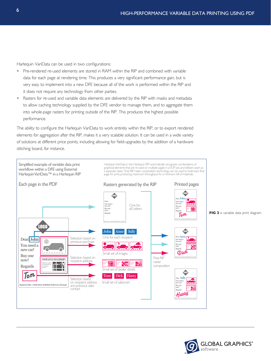Harlequin VariData can be used in two configurations:

- Pre-rendered re-used elements are stored in RAM within the RIP and combined with variable data for each page at rendering time. This produces a very significant performance gain, but is very easy to implement into a new DFE because all of the work is performed within the RIP and it does not require any technology from other parties.
- Rasters for re-used and variable data elements are delivered by the RIP with masks and metadata to allow caching technology supplied by the DFE vendor to manage them, and to aggregate them into whole-page rasters for printing outside of the RIP. This produces the highest possible performance.

The ability to configure the Harlequin VariData to work entirely within the RIP, or to export rendered elements for aggregation after the RIP, makes it a very scalable solution. It can be used in a wide variety of solutions at different price points, including allowing for field-upgrades by the addition of a hardware stitching board, for instance.



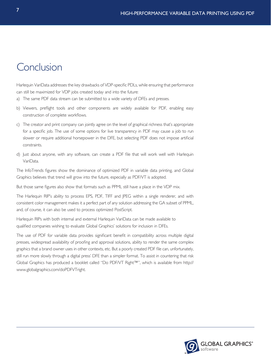### Conclusion

Harlequin VariData addresses the key drawbacks of VDP-specific PDLs, while ensuring that performance can still be maximized for VDP jobs created today and into the future:

- a) The same PDF data stream can be submitted to a wide variety of DFEs and presses.
- b) Viewers, preflight tools and other components are widely available for PDF, enabling easy construction of complete workflows.
- c) The creator and print company can jointly agree on the level of graphical richness that's appropriate for a specific job. The use of some options for live transparency in PDF may cause a job to run slower or require additional horsepower in the DFE, but selecting PDF does not impose artificial constraints.
- d) Just about anyone, with any software, can create a PDF file that will work well with Harlequin VariData.

The InfoTrends figures show the dominance of optimized PDF in variable data printing, and Global Graphics believes that trend will grow into the future, especially as PDF/VT is adopted.

But those same figures also show that formats such as PPML still have a place in the VDP mix.

The Harlequin RIP's ability to process EPS, PDF, TIFF and JPEG within a single renderer, and with consistent color management makes it a perfect part of any solution addressing the GA subset of PPML, and, of course, it can also be used to process optimized PostScript.

Harlequin RIPs with both internal and external Harlequin VariData can be made available to qualified companies wishing to evaluate Global Graphics' solutions for inclusion in DFEs.

The use of PDF for variable data provides significant benefit in compatibility across multiple digital presses, widespread availability of proofing and approval solutions, ability to render the same complex graphics that a brand owner uses in other contexts, etc. But a poorly created PDF file can, unfortunately, still run more slowly through a digital press' DFE than a simpler format. To assist in countering that risk Global Graphics has produced a booklet called "Do PDF/VT Right™", which is available from http:// www.globalgraphics.com/doPDFVTright.